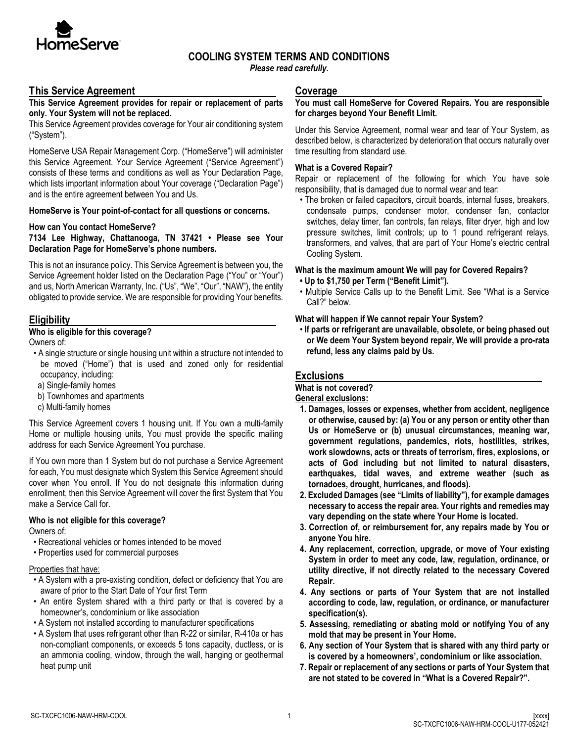

## **COOLING SYSTEM TERMS AND CONDITIONS**

*Please read carefully.*

### **This Service Agreement**

**This Service Agreement provides for repair or replacement of parts only. Your System will not be replaced.**

This Service Agreement provides coverage for Your air conditioning system ("System").

HomeServe USA Repair Management Corp. ("HomeServe") will administer this Service Agreement. Your Service Agreement ("Service Agreement") consists of these terms and conditions as well as Your Declaration Page, which lists important information about Your coverage ("Declaration Page") and is the entire agreement between You and Us.

**HomeServe is Your point-of-contact for all questions or concerns.**

#### **How can You contact HomeServe?**

**7134 Lee Highway, Chattanooga, TN 37421 • Please see Your Declaration Page for HomeServe's phone numbers.** 

This is not an insurance policy. This Service Agreement is between you, the Service Agreement holder listed on the Declaration Page ("You" or "Your") and us, North American Warranty, Inc. ("Us", "We", "Our", "NAW"), the entity obligated to provide service. We are responsible for providing Your benefits.

### **Eligibility**

### **Who is eligible for this coverage?**

Owners of:

- A single structure or single housing unit within a structure not intended to be moved ("Home") that is used and zoned only for residential occupancy, including:
- a) Single-family homes
- b) Townhomes and apartments
- c) Multi-family homes

This Service Agreement covers 1 housing unit. If You own a multi-family Home or multiple housing units, You must provide the specific mailing address for each Service Agreement You purchase.

If You own more than 1 System but do not purchase a Service Agreement for each, You must designate which System this Service Agreement should cover when You enroll. If You do not designate this information during enrollment, then this Service Agreement will cover the first System that You make a Service Call for.

#### **Who is not eligible for this coverage?**

Owners of:

- Recreational vehicles or homes intended to be moved
- Properties used for commercial purposes

#### Properties that have:

- A System with a pre-existing condition, defect or deficiency that You are aware of prior to the Start Date of Your first Term
- An entire System shared with a third party or that is covered by a homeowner's, condominium or like association
- A System not installed according to manufacturer specifications
- A System that uses refrigerant other than R-22 or similar, R-410a or has non-compliant components, or exceeds 5 tons capacity, ductless, or is an ammonia cooling, window, through the wall, hanging or geothermal heat pump unit

#### **Coverage**

#### **You must call HomeServe for Covered Repairs. You are responsible for charges beyond Your Benefit Limit.**

Under this Service Agreement, normal wear and tear of Your System, as described below, is characterized by deterioration that occurs naturally over time resulting from standard use.

#### **What is a Covered Repair?**

Repair or replacement of the following for which You have sole responsibility, that is damaged due to normal wear and tear:

• The broken or failed capacitors, circuit boards, internal fuses, breakers, condensate pumps, condenser motor, condenser fan, contactor switches, delay timer, fan controls, fan relays, filter dryer, high and low pressure switches, limit controls; up to 1 pound refrigerant relays, transformers, and valves, that are part of Your Home's electric central Cooling System.

#### **What is the maximum amount We will pay for Covered Repairs?**

- **Up to \$1,750 per Term ("Benefit Limit").**
- Multiple Service Calls up to the Benefit Limit. See "What is a Service Call?" below.

#### **What will happen if We cannot repair Your System?**

• **If parts or refrigerant are unavailable, obsolete, or being phased out or We deem Your System beyond repair, We will provide a pro-rata refund, less any claims paid by Us.**

### **Exclusions**

## **What is not covered?**

**General exclusions:**

- **1. Damages, losses or expenses, whether from accident, negligence or otherwise, caused by: (a) You or any person or entity other than Us or HomeServe or (b) unusual circumstances, meaning war, government regulations, pandemics, riots, hostilities, strikes, work slowdowns, acts or threats of terrorism, fires, explosions, or acts of God including but not limited to natural disasters, earthquakes, tidal waves, and extreme weather (such as tornadoes, drought, hurricanes, and floods).**
- **2. Excluded Damages (see "Limits of liability"), for example damages necessary to access the repair area. Your rights and remedies may vary depending on the state where Your Home is located.**
- **3. Correction of, or reimbursement for, any repairs made by You or anyone You hire.**
- **4. Any replacement, correction, upgrade, or move of Your existing System in order to meet any code, law, regulation, ordinance, or utility directive, if not directly related to the necessary Covered Repair.**
- **4. Any sections or parts of Your System that are not installed according to code, law, regulation, or ordinance, or manufacturer specification(s).**
- **5. Assessing, remediating or abating mold or notifying You of any mold that may be present in Your Home.**
- **6. Any section of Your System that is shared with any third party or is covered by a homeowners', condominium or like association.**
- **7. Repair or replacement of any sections or parts of Your System that are not stated to be covered in "What is a Covered Repair?".**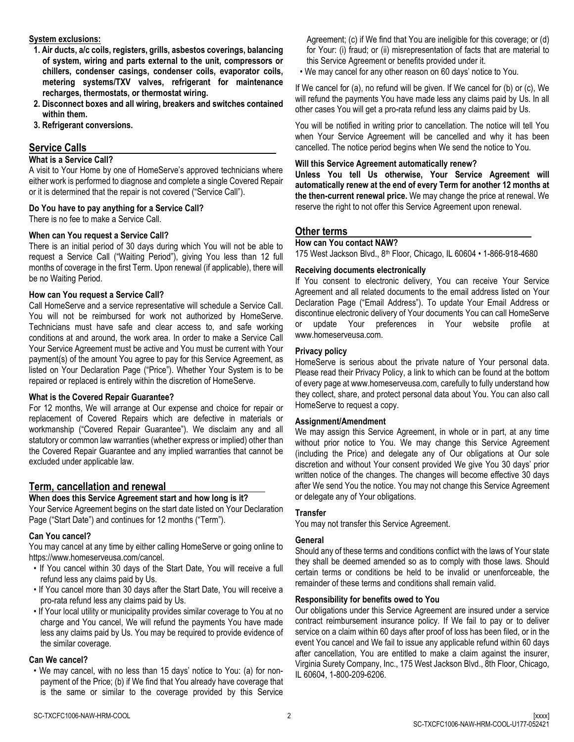#### **System exclusions:**

- **1. Air ducts, a/c coils, registers, grills, asbestos coverings, balancing of system, wiring and parts external to the unit, compressors or chillers, condenser casings, condenser coils, evaporator coils, metering systems/TXV valves, refrigerant for maintenance recharges, thermostats, or thermostat wiring.**
- **2. Disconnect boxes and all wiring, breakers and switches contained within them.**
- **3. Refrigerant conversions.**

# **Service Calls**

### **What is a Service Call?**

A visit to Your Home by one of HomeServe's approved technicians where either work is performed to diagnose and complete a single Covered Repair or it is determined that the repair is not covered ("Service Call").

## **Do You have to pay anything for a Service Call?**

There is no fee to make a Service Call.

### **When can You request a Service Call?**

There is an initial period of 30 days during which You will not be able to request a Service Call ("Waiting Period"), giving You less than 12 full months of coverage in the first Term. Upon renewal (if applicable), there will be no Waiting Period.

## **How can You request a Service Call?**

Call HomeServe and a service representative will schedule a Service Call. You will not be reimbursed for work not authorized by HomeServe. Technicians must have safe and clear access to, and safe working conditions at and around, the work area. In order to make a Service Call Your Service Agreement must be active and You must be current with Your payment(s) of the amount You agree to pay for this Service Agreement, as listed on Your Declaration Page ("Price"). Whether Your System is to be repaired or replaced is entirely within the discretion of HomeServe.

### **What is the Covered Repair Guarantee?**

For 12 months, We will arrange at Our expense and choice for repair or replacement of Covered Repairs which are defective in materials or workmanship ("Covered Repair Guarantee"). We disclaim any and all statutory or common law warranties (whether express or implied) other than the Covered Repair Guarantee and any implied warranties that cannot be excluded under applicable law.

## **Term, cancellation and renewal**

## **When does this Service Agreement start and how long is it?**

Your Service Agreement begins on the start date listed on Your Declaration Page ("Start Date") and continues for 12 months ("Term").

## **Can You cancel?**

You may cancel at any time by either calling HomeServe or going online to https://www.homeserveusa.com/cancel.

- If You cancel within 30 days of the Start Date, You will receive a full refund less any claims paid by Us.
- If You cancel more than 30 days after the Start Date, You will receive a pro-rata refund less any claims paid by Us.
- If Your local utility or municipality provides similar coverage to You at no charge and You cancel, We will refund the payments You have made less any claims paid by Us. You may be required to provide evidence of the similar coverage.

### **Can We cancel?**

• We may cancel, with no less than 15 days' notice to You: (a) for nonpayment of the Price; (b) if We find that You already have coverage that is the same or similar to the coverage provided by this Service Agreement; (c) if We find that You are ineligible for this coverage; or (d) for Your: (i) fraud; or (ii) misrepresentation of facts that are material to this Service Agreement or benefits provided under it.

• We may cancel for any other reason on 60 days' notice to You.

If We cancel for (a), no refund will be given. If We cancel for (b) or (c), We will refund the payments You have made less any claims paid by Us. In all other cases You will get a pro-rata refund less any claims paid by Us.

You will be notified in writing prior to cancellation. The notice will tell You when Your Service Agreement will be cancelled and why it has been cancelled. The notice period begins when We send the notice to You.

## **Will this Service Agreement automatically renew?**

**Unless You tell Us otherwise, Your Service Agreement will automatically renew at the end of every Term for another 12 months at the then-current renewal price.** We may change the price at renewal. We reserve the right to not offer this Service Agreement upon renewal.

## **Other terms**

### **How can You contact NAW?**

175 West Jackson Blvd., 8th Floor, Chicago, IL 60604 • 1-866-918-4680

## **Receiving documents electronically**

If You consent to electronic delivery, You can receive Your Service Agreement and all related documents to the email address listed on Your Declaration Page ("Email Address"). To update Your Email Address or discontinue electronic delivery of Your documents You can call HomeServe or update Your preferences in Your website profile at www.homeserveusa.com.

#### **Privacy policy**

HomeServe is serious about the private nature of Your personal data. Please read their Privacy Policy, a link to which can be found at the bottom of every page at www.homeserveusa.com, carefully to fully understand how they collect, share, and protect personal data about You. You can also call HomeServe to request a copy.

#### **Assignment/Amendment**

We may assign this Service Agreement, in whole or in part, at any time without prior notice to You. We may change this Service Agreement (including the Price) and delegate any of Our obligations at Our sole discretion and without Your consent provided We give You 30 days' prior written notice of the changes. The changes will become effective 30 days after We send You the notice. You may not change this Service Agreement or delegate any of Your obligations.

### **Transfer**

You may not transfer this Service Agreement.

## **General**

Should any of these terms and conditions conflict with the laws of Your state they shall be deemed amended so as to comply with those laws. Should certain terms or conditions be held to be invalid or unenforceable, the remainder of these terms and conditions shall remain valid.

### **Responsibility for benefits owed to You**

Our obligations under this Service Agreement are insured under a service contract reimbursement insurance policy. If We fail to pay or to deliver service on a claim within 60 days after proof of loss has been filed, or in the event You cancel and We fail to issue any applicable refund within 60 days after cancellation, You are entitled to make a claim against the insurer, Virginia Surety Company, Inc., 175 West Jackson Blvd., 8th Floor, Chicago, IL 60604, 1-800-209-6206.